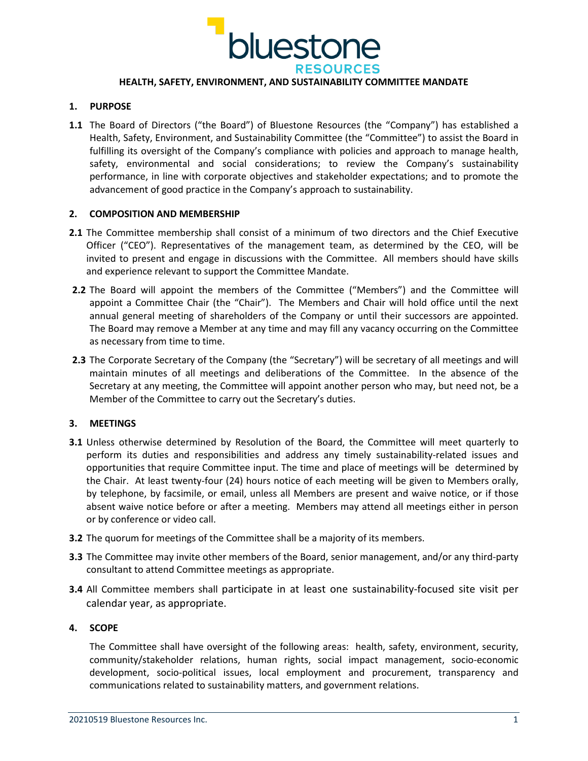

# **HEALTH, SAFETY, ENVIRONMENT, AND SUSTAINABILITY COMMITTEE MANDATE**

### **1. PURPOSE**

**1.1** The Board of Directors ("the Board") of Bluestone Resources (the "Company") has established a Health, Safety, Environment, and Sustainability Committee (the "Committee") to assist the Board in fulfilling its oversight of the Company's compliance with policies and approach to manage health, safety, environmental and social considerations; to review the Company's sustainability performance, in line with corporate objectives and stakeholder expectations; and to promote the advancement of good practice in the Company's approach to sustainability.

## **2. COMPOSITION AND MEMBERSHIP**

- **2.1** The Committee membership shall consist of a minimum of two directors and the Chief Executive Officer ("CEO"). Representatives of the management team, as determined by the CEO, will be invited to present and engage in discussions with the Committee. All members should have skills and experience relevant to support the Committee Mandate.
- **2.2** The Board will appoint the members of the Committee ("Members") and the Committee will appoint a Committee Chair (the "Chair"). The Members and Chair will hold office until the next annual general meeting of shareholders of the Company or until their successors are appointed. The Board may remove a Member at any time and may fill any vacancy occurring on the Committee as necessary from time to time.
- **2.3** The Corporate Secretary of the Company (the "Secretary") will be secretary of all meetings and will maintain minutes of all meetings and deliberations of the Committee. In the absence of the Secretary at any meeting, the Committee will appoint another person who may, but need not, be a Member of the Committee to carry out the Secretary's duties.

#### **3. MEETINGS**

- **3.1** Unless otherwise determined by Resolution of the Board, the Committee will meet quarterly to perform its duties and responsibilities and address any timely sustainability-related issues and opportunities that require Committee input. The time and place of meetings will be determined by the Chair. At least twenty-four (24) hours notice of each meeting will be given to Members orally, by telephone, by facsimile, or email, unless all Members are present and waive notice, or if those absent waive notice before or after a meeting. Members may attend all meetings either in person or by conference or video call.
- **3.2** The quorum for meetings of the Committee shall be a majority of its members.
- **3.3** The Committee may invite other members of the Board, senior management, and/or any third-party consultant to attend Committee meetings as appropriate.
- **3.4** All Committee members shall participate in at least one sustainability-focused site visit per calendar year, as appropriate.

#### **4. SCOPE**

The Committee shall have oversight of the following areas: health, safety, environment, security, community/stakeholder relations, human rights, social impact management, socio-economic development, socio-political issues, local employment and procurement, transparency and communications related to sustainability matters, and government relations.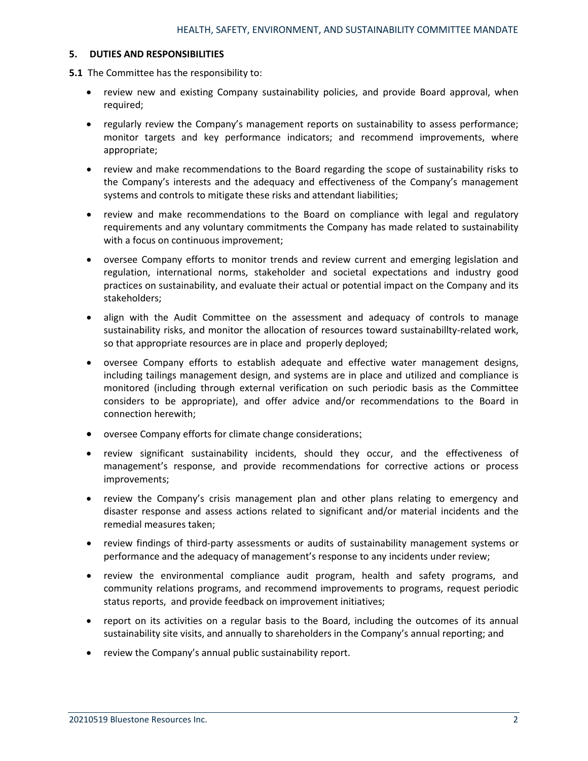# **5. DUTIES AND RESPONSIBILITIES**

**5.1** The Committee has the responsibility to:

- review new and existing Company sustainability policies, and provide Board approval, when required;
- regularly review the Company's management reports on sustainability to assess performance; monitor targets and key performance indicators; and recommend improvements, where appropriate;
- review and make recommendations to the Board regarding the scope of sustainability risks to the Company's interests and the adequacy and effectiveness of the Company's management systems and controls to mitigate these risks and attendant liabilities;
- review and make recommendations to the Board on compliance with legal and regulatory requirements and any voluntary commitments the Company has made related to sustainability with a focus on continuous improvement;
- oversee Company efforts to monitor trends and review current and emerging legislation and regulation, international norms, stakeholder and societal expectations and industry good practices on sustainability, and evaluate their actual or potential impact on the Company and its stakeholders;
- align with the Audit Committee on the assessment and adequacy of controls to manage sustainability risks, and monitor the allocation of resources toward sustainabillty-related work, so that appropriate resources are in place and properly deployed;
- oversee Company efforts to establish adequate and effective water management designs, including tailings management design, and systems are in place and utilized and compliance is monitored (including through external verification on such periodic basis as the Committee considers to be appropriate), and offer advice and/or recommendations to the Board in connection herewith;
- oversee Company efforts for climate change considerations;
- review significant sustainability incidents, should they occur, and the effectiveness of management's response, and provide recommendations for corrective actions or process improvements;
- review the Company's crisis management plan and other plans relating to emergency and disaster response and assess actions related to significant and/or material incidents and the remedial measures taken;
- review findings of third-party assessments or audits of sustainability management systems or performance and the adequacy of management's response to any incidents under review;
- review the environmental compliance audit program, health and safety programs, and community relations programs, and recommend improvements to programs, request periodic status reports, and provide feedback on improvement initiatives;
- report on its activities on a regular basis to the Board, including the outcomes of its annual sustainability site visits, and annually to shareholders in the Company's annual reporting; and
- review the Company's annual public sustainability report.